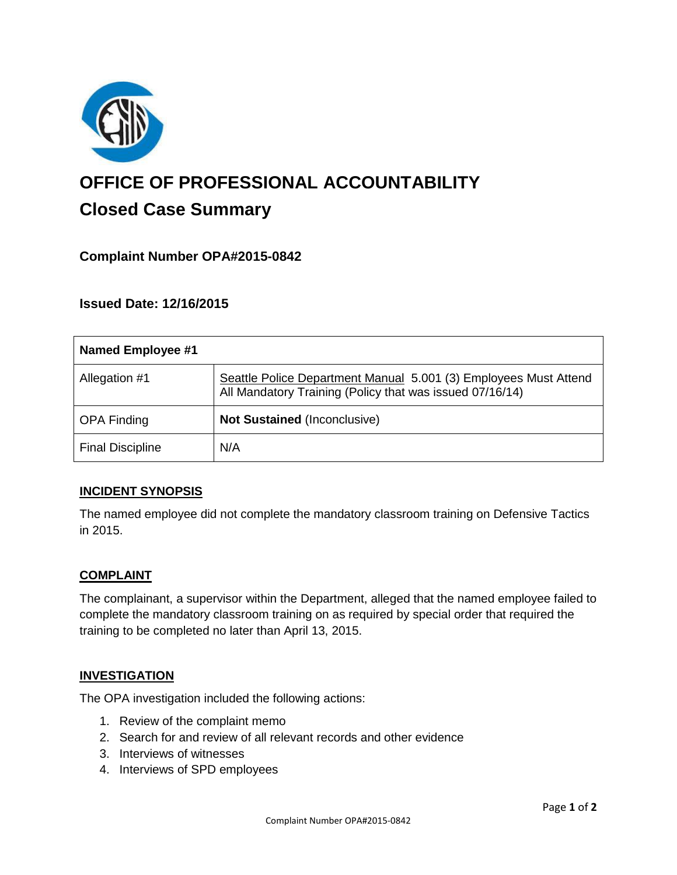

# **OFFICE OF PROFESSIONAL ACCOUNTABILITY Closed Case Summary**

# **Complaint Number OPA#2015-0842**

## **Issued Date: 12/16/2015**

| <b>Named Employee #1</b> |                                                                                                                              |
|--------------------------|------------------------------------------------------------------------------------------------------------------------------|
| Allegation #1            | Seattle Police Department Manual 5.001 (3) Employees Must Attend<br>All Mandatory Training (Policy that was issued 07/16/14) |
| <b>OPA Finding</b>       | <b>Not Sustained (Inconclusive)</b>                                                                                          |
| <b>Final Discipline</b>  | N/A                                                                                                                          |

## **INCIDENT SYNOPSIS**

The named employee did not complete the mandatory classroom training on Defensive Tactics in 2015.

## **COMPLAINT**

The complainant, a supervisor within the Department, alleged that the named employee failed to complete the mandatory classroom training on as required by special order that required the training to be completed no later than April 13, 2015.

#### **INVESTIGATION**

The OPA investigation included the following actions:

- 1. Review of the complaint memo
- 2. Search for and review of all relevant records and other evidence
- 3. Interviews of witnesses
- 4. Interviews of SPD employees